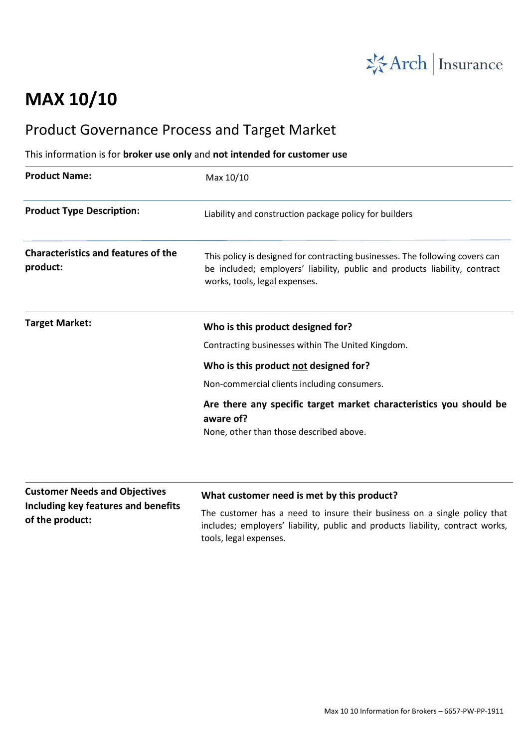

## **MAX 10/10**

## Product Governance Process and Target Market

This information is for **broker use only** and **not intended for customer use**

| <b>Product Name:</b>                                   | Max 10/10                                                                                                                                                                                   |
|--------------------------------------------------------|---------------------------------------------------------------------------------------------------------------------------------------------------------------------------------------------|
| <b>Product Type Description:</b>                       | Liability and construction package policy for builders                                                                                                                                      |
| <b>Characteristics and features of the</b><br>product: | This policy is designed for contracting businesses. The following covers can<br>be included; employers' liability, public and products liability, contract<br>works, tools, legal expenses. |
| <b>Target Market:</b>                                  | Who is this product designed for?                                                                                                                                                           |
|                                                        | Contracting businesses within The United Kingdom.                                                                                                                                           |
|                                                        | Who is this product not designed for?                                                                                                                                                       |
|                                                        | Non-commercial clients including consumers.                                                                                                                                                 |
|                                                        | Are there any specific target market characteristics you should be<br>aware of?                                                                                                             |
|                                                        | None, other than those described above.                                                                                                                                                     |
|                                                        |                                                                                                                                                                                             |
|                                                        |                                                                                                                                                                                             |

**Customer Needs and Objectives Including key features and benefits of the product:**

## **What customer need is met by this product?**

The customer has a need to insure their business on a single policy that includes; employers' liability, public and products liability, contract works, tools, legal expenses.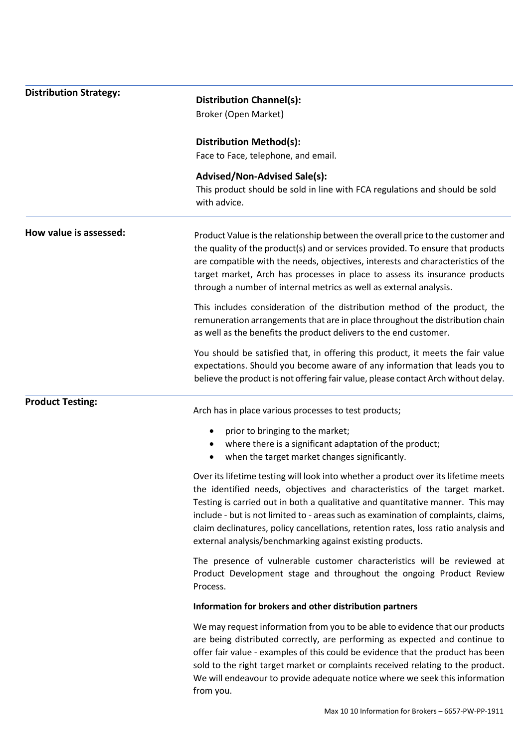| <b>Distribution Strategy:</b> | <b>Distribution Channel(s):</b>                                                                                                                                                                                                                                                                                                                                                                                                                                                             |
|-------------------------------|---------------------------------------------------------------------------------------------------------------------------------------------------------------------------------------------------------------------------------------------------------------------------------------------------------------------------------------------------------------------------------------------------------------------------------------------------------------------------------------------|
|                               | Broker (Open Market)                                                                                                                                                                                                                                                                                                                                                                                                                                                                        |
|                               |                                                                                                                                                                                                                                                                                                                                                                                                                                                                                             |
|                               | <b>Distribution Method(s):</b><br>Face to Face, telephone, and email.                                                                                                                                                                                                                                                                                                                                                                                                                       |
|                               |                                                                                                                                                                                                                                                                                                                                                                                                                                                                                             |
|                               | <b>Advised/Non-Advised Sale(s):</b><br>This product should be sold in line with FCA regulations and should be sold<br>with advice.                                                                                                                                                                                                                                                                                                                                                          |
| How value is assessed:        | Product Value is the relationship between the overall price to the customer and<br>the quality of the product(s) and or services provided. To ensure that products<br>are compatible with the needs, objectives, interests and characteristics of the<br>target market, Arch has processes in place to assess its insurance products<br>through a number of internal metrics as well as external analysis.                                                                                  |
|                               | This includes consideration of the distribution method of the product, the<br>remuneration arrangements that are in place throughout the distribution chain<br>as well as the benefits the product delivers to the end customer.                                                                                                                                                                                                                                                            |
|                               | You should be satisfied that, in offering this product, it meets the fair value<br>expectations. Should you become aware of any information that leads you to<br>believe the product is not offering fair value, please contact Arch without delay.                                                                                                                                                                                                                                         |
| <b>Product Testing:</b>       | Arch has in place various processes to test products;                                                                                                                                                                                                                                                                                                                                                                                                                                       |
|                               | prior to bringing to the market;<br>٠                                                                                                                                                                                                                                                                                                                                                                                                                                                       |
|                               | where there is a significant adaptation of the product;<br>$\bullet$                                                                                                                                                                                                                                                                                                                                                                                                                        |
|                               | when the target market changes significantly.<br>٠                                                                                                                                                                                                                                                                                                                                                                                                                                          |
|                               | Over its lifetime testing will look into whether a product over its lifetime meets<br>the identified needs, objectives and characteristics of the target market.<br>Testing is carried out in both a qualitative and quantitative manner. This may<br>include - but is not limited to - areas such as examination of complaints, claims,<br>claim declinatures, policy cancellations, retention rates, loss ratio analysis and<br>external analysis/benchmarking against existing products. |
|                               | The presence of vulnerable customer characteristics will be reviewed at<br>Product Development stage and throughout the ongoing Product Review<br>Process.                                                                                                                                                                                                                                                                                                                                  |
|                               | Information for brokers and other distribution partners                                                                                                                                                                                                                                                                                                                                                                                                                                     |
|                               | We may request information from you to be able to evidence that our products<br>are being distributed correctly, are performing as expected and continue to<br>offer fair value - examples of this could be evidence that the product has been<br>sold to the right target market or complaints received relating to the product.<br>We will endeavour to provide adequate notice where we seek this information<br>from you.                                                               |